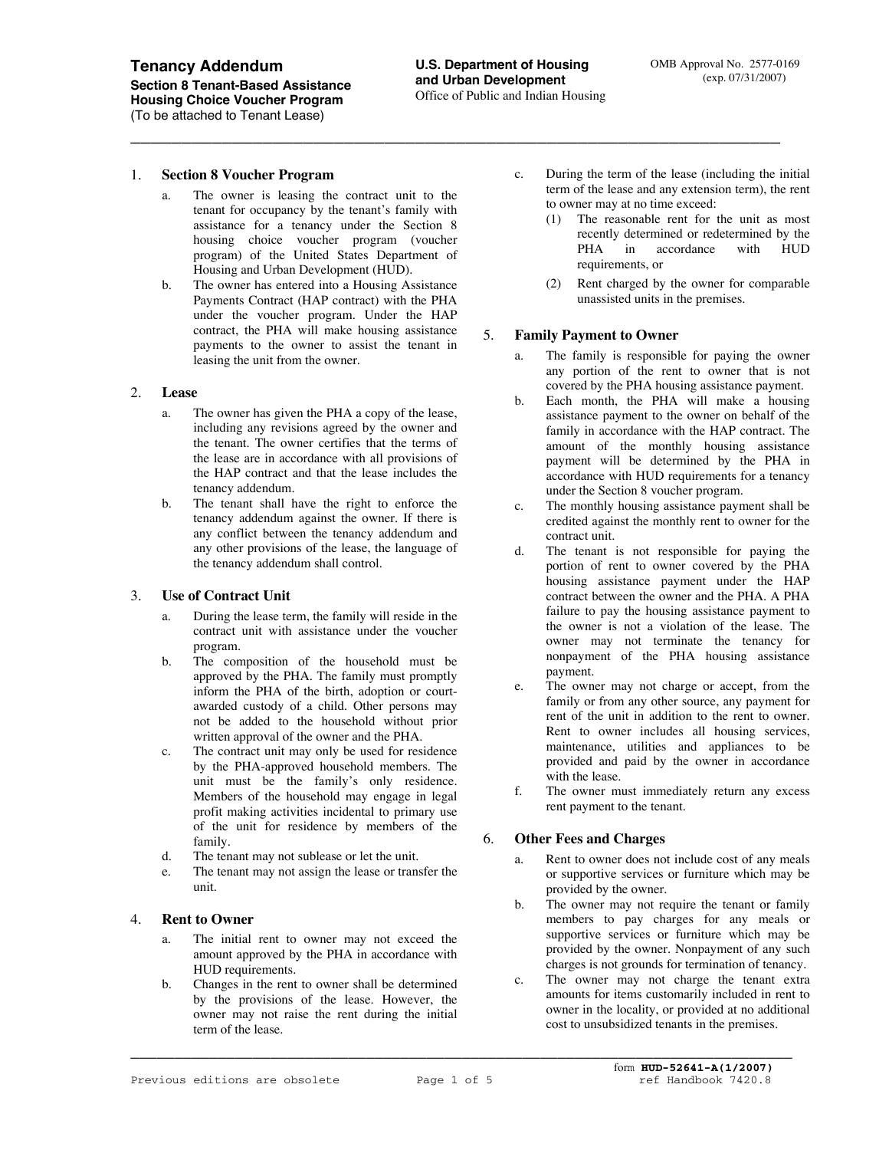\_\_\_\_\_\_\_\_\_\_\_\_\_\_\_\_\_\_\_\_\_\_\_\_\_\_\_\_\_\_\_\_\_\_\_\_\_\_\_\_\_\_\_\_\_\_\_\_\_\_\_\_\_\_\_\_\_\_\_\_\_\_\_\_

## 1. **Section 8 Voucher Program**

- a. The owner is leasing the contract unit to the tenant for occupancy by the tenant's family with assistance for a tenancy under the Section 8 housing choice voucher program (voucher program) of the United States Department of Housing and Urban Development (HUD).
- b. The owner has entered into a Housing Assistance Payments Contract (HAP contract) with the PHA under the voucher program. Under the HAP contract, the PHA will make housing assistance payments to the owner to assist the tenant in leasing the unit from the owner.

## 2. **Lease**

- a. The owner has given the PHA a copy of the lease, including any revisions agreed by the owner and the tenant. The owner certifies that the terms of the lease are in accordance with all provisions of the HAP contract and that the lease includes the tenancy addendum.
- b. The tenant shall have the right to enforce the tenancy addendum against the owner. If there is any conflict between the tenancy addendum and any other provisions of the lease, the language of the tenancy addendum shall control.

# 3. **Use of Contract Unit**

- a. During the lease term, the family will reside in the contract unit with assistance under the voucher program.
- b. The composition of the household must be approved by the PHA. The family must promptly inform the PHA of the birth, adoption or courtawarded custody of a child. Other persons may not be added to the household without prior written approval of the owner and the PHA.
- c. The contract unit may only be used for residence by the PHA-approved household members. The unit must be the family's only residence. Members of the household may engage in legal profit making activities incidental to primary use of the unit for residence by members of the family.
- d. The tenant may not sublease or let the unit.
- e. The tenant may not assign the lease or transfer the unit.

# 4. **Rent to Owner**

- a. The initial rent to owner may not exceed the amount approved by the PHA in accordance with HUD requirements.
- b. Changes in the rent to owner shall be determined by the provisions of the lease. However, the owner may not raise the rent during the initial term of the lease.
- c. During the term of the lease (including the initial term of the lease and any extension term), the rent to owner may at no time exceed:
	- (1) The reasonable rent for the unit as most recently determined or redetermined by the PHA in accordance with HUD requirements, or
	- (2) Rent charged by the owner for comparable unassisted units in the premises.

# 5. **Family Payment to Owner**

- a. The family is responsible for paying the owner any portion of the rent to owner that is not covered by the PHA housing assistance payment.
- b. Each month, the PHA will make a housing assistance payment to the owner on behalf of the family in accordance with the HAP contract. The amount of the monthly housing assistance payment will be determined by the PHA in accordance with HUD requirements for a tenancy under the Section 8 voucher program.
- c. The monthly housing assistance payment shall be credited against the monthly rent to owner for the contract unit.
- d. The tenant is not responsible for paying the portion of rent to owner covered by the PHA housing assistance payment under the HAP contract between the owner and the PHA. A PHA failure to pay the housing assistance payment to the owner is not a violation of the lease. The owner may not terminate the tenancy for nonpayment of the PHA housing assistance payment.
- e. The owner may not charge or accept, from the family or from any other source, any payment for rent of the unit in addition to the rent to owner. Rent to owner includes all housing services, maintenance, utilities and appliances to be provided and paid by the owner in accordance with the lease.
- f. The owner must immediately return any excess rent payment to the tenant.

# 6. **Other Fees and Charges**

- a. Rent to owner does not include cost of any meals or supportive services or furniture which may be provided by the owner.
- b. The owner may not require the tenant or family members to pay charges for any meals or supportive services or furniture which may be provided by the owner. Nonpayment of any such charges is not grounds for termination of tenancy.
- c. The owner may not charge the tenant extra amounts for items customarily included in rent to owner in the locality, or provided at no additional cost to unsubsidized tenants in the premises.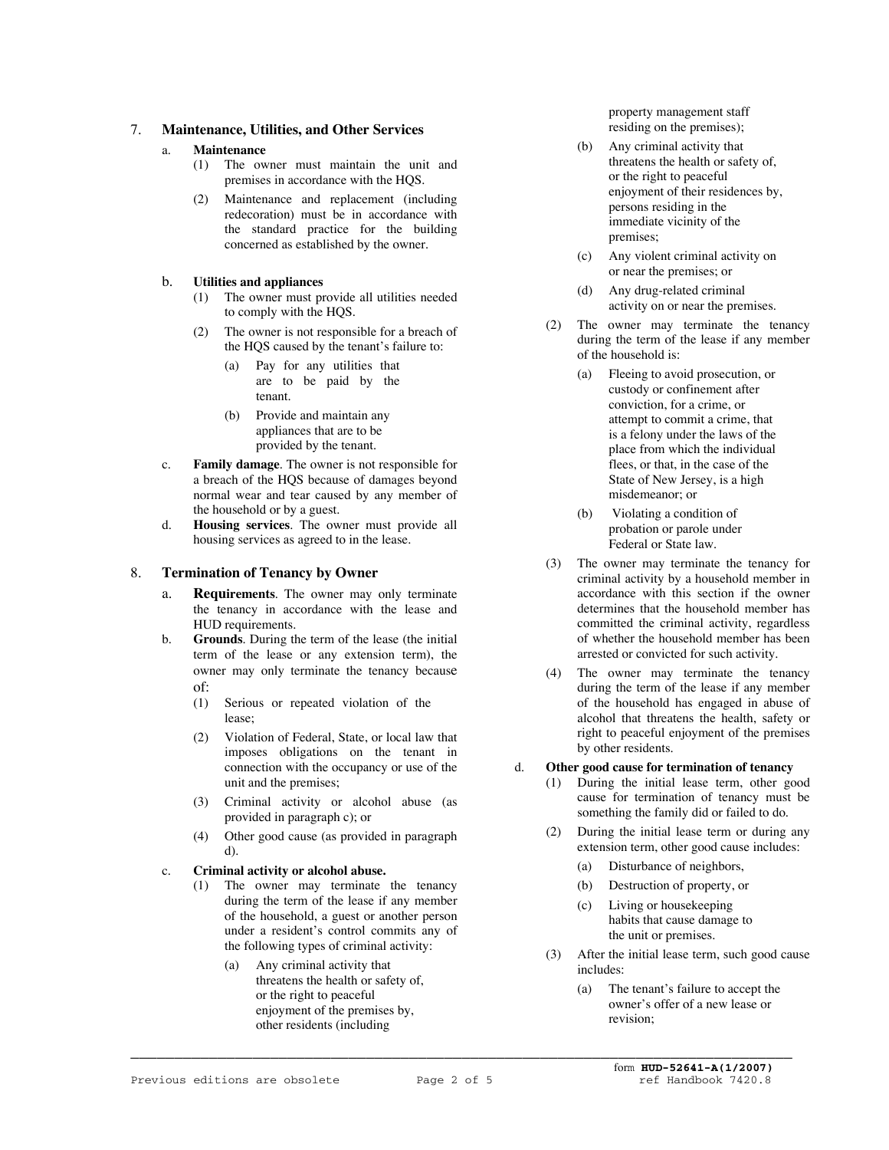## 7. **Maintenance, Utilities, and Other Services**

### a. **Maintenance**

- (1) The owner must maintain the unit and premises in accordance with the HQS.
- (2) Maintenance and replacement (including redecoration) must be in accordance with the standard practice for the building concerned as established by the owner.

# b. **Utilities and appliances**

- (1) The owner must provide all utilities needed to comply with the HQS.
- (2) The owner is not responsible for a breach of the HQS caused by the tenant's failure to:
	- (a) Pay for any utilities that are to be paid by the tenant.
	- (b) Provide and maintain any appliances that are to be provided by the tenant.
- c. **Family damage**. The owner is not responsible for a breach of the HQS because of damages beyond normal wear and tear caused by any member of the household or by a guest.
- d. **Housing services**. The owner must provide all housing services as agreed to in the lease.

### 8. **Termination of Tenancy by Owner**

- a. **Requirements**. The owner may only terminate the tenancy in accordance with the lease and HUD requirements.
- b. **Grounds**. During the term of the lease (the initial term of the lease or any extension term), the owner may only terminate the tenancy because of:<br> $(1)$ 
	- Serious or repeated violation of the lease;
	- (2) Violation of Federal, State, or local law that imposes obligations on the tenant in connection with the occupancy or use of the unit and the premises;
	- (3) Criminal activity or alcohol abuse (as provided in paragraph c); or
	- (4) Other good cause (as provided in paragraph d).
- c. **Criminal activity or alcohol abuse.**
	- (1) The owner may terminate the tenancy during the term of the lease if any member of the household, a guest or another person under a resident's control commits any of the following types of criminal activity:
		- (a) Any criminal activity that threatens the health or safety of, or the right to peaceful enjoyment of the premises by, other residents (including

property management staff residing on the premises);

- (b) Any criminal activity that threatens the health or safety of, or the right to peaceful enjoyment of their residences by, persons residing in the immediate vicinity of the premises;
- (c) Any violent criminal activity on or near the premises; or
- (d) Any drug-related criminal activity on or near the premises.
- (2) The owner may terminate the tenancy during the term of the lease if any member of the household is:
	- (a) Fleeing to avoid prosecution, or custody or confinement after conviction, for a crime, or attempt to commit a crime, that is a felony under the laws of the place from which the individual flees, or that, in the case of the State of New Jersey, is a high misdemeanor; or
	- (b) Violating a condition of probation or parole under Federal or State law.
- (3) The owner may terminate the tenancy for criminal activity by a household member in accordance with this section if the owner determines that the household member has committed the criminal activity, regardless of whether the household member has been arrested or convicted for such activity.
- (4) The owner may terminate the tenancy during the term of the lease if any member of the household has engaged in abuse of alcohol that threatens the health, safety or right to peaceful enjoyment of the premises by other residents.

### d. **Other good cause for termination of tenancy**

- (1) During the initial lease term, other good cause for termination of tenancy must be something the family did or failed to do.
- (2) During the initial lease term or during any extension term, other good cause includes:
	- (a) Disturbance of neighbors,
	- (b) Destruction of property, or
	- (c) Living or housekeeping habits that cause damage to the unit or premises.
- (3) After the initial lease term, such good cause includes:
	- (a) The tenant's failure to accept the owner's offer of a new lease or revision;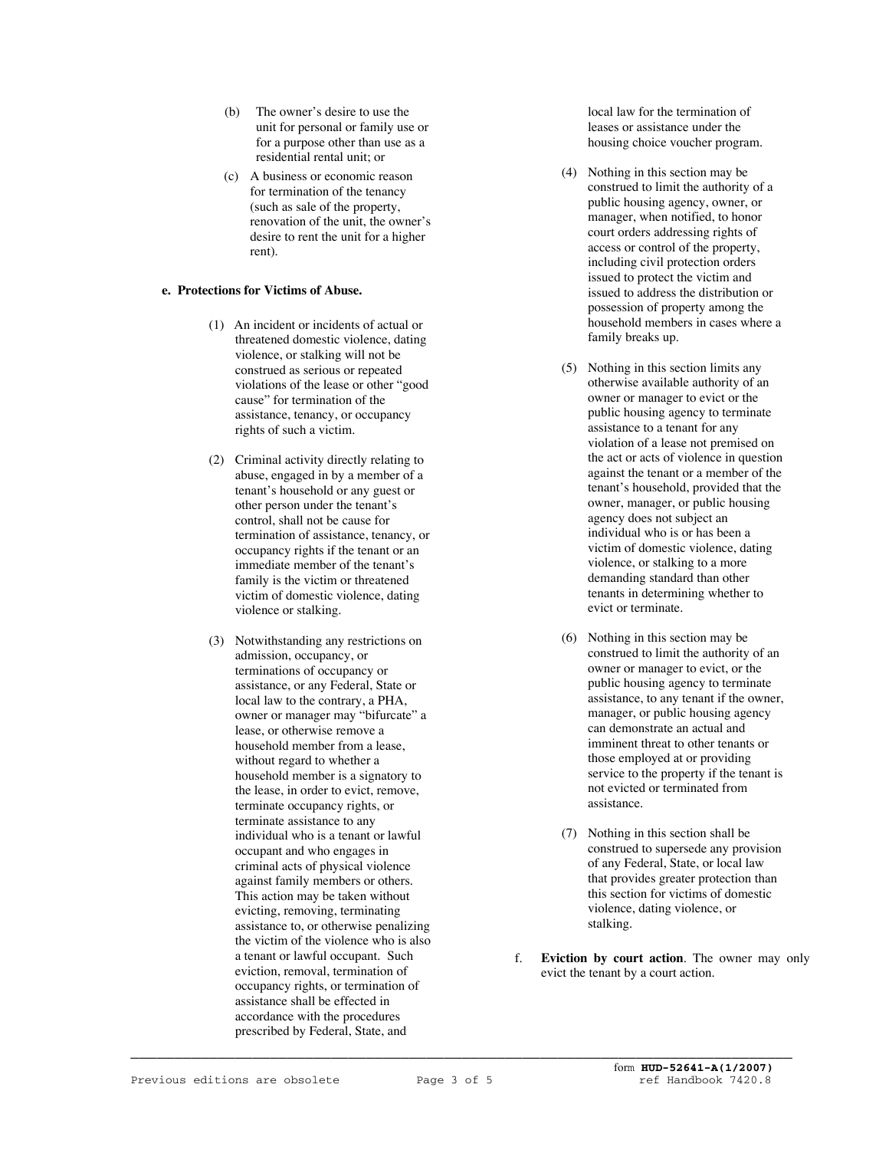- (b) The owner's desire to use the unit for personal or family use or for a purpose other than use as a residential rental unit; or
- (c) A business or economic reason for termination of the tenancy (such as sale of the property, renovation of the unit, the owner's desire to rent the unit for a higher rent).

### **e. Protections for Victims of Abuse.**

- (1) An incident or incidents of actual or threatened domestic violence, dating violence, or stalking will not be construed as serious or repeated violations of the lease or other "good cause" for termination of the assistance, tenancy, or occupancy rights of such a victim.
- (2) Criminal activity directly relating to abuse, engaged in by a member of a tenant's household or any guest or other person under the tenant's control, shall not be cause for termination of assistance, tenancy, or occupancy rights if the tenant or an immediate member of the tenant's family is the victim or threatened victim of domestic violence, dating violence or stalking.
- (3) Notwithstanding any restrictions on admission, occupancy, or terminations of occupancy or assistance, or any Federal, State or local law to the contrary, a PHA, owner or manager may "bifurcate" a lease, or otherwise remove a household member from a lease, without regard to whether a household member is a signatory to the lease, in order to evict, remove, terminate occupancy rights, or terminate assistance to any individual who is a tenant or lawful occupant and who engages in criminal acts of physical violence against family members or others. This action may be taken without evicting, removing, terminating assistance to, or otherwise penalizing the victim of the violence who is also a tenant or lawful occupant. Such eviction, removal, termination of occupancy rights, or termination of assistance shall be effected in accordance with the procedures prescribed by Federal, State, and

local law for the termination of leases or assistance under the housing choice voucher program.

- (4) Nothing in this section may be construed to limit the authority of a public housing agency, owner, or manager, when notified, to honor court orders addressing rights of access or control of the property, including civil protection orders issued to protect the victim and issued to address the distribution or possession of property among the household members in cases where a family breaks up.
- (5) Nothing in this section limits any otherwise available authority of an owner or manager to evict or the public housing agency to terminate assistance to a tenant for any violation of a lease not premised on the act or acts of violence in question against the tenant or a member of the tenant's household, provided that the owner, manager, or public housing agency does not subject an individual who is or has been a victim of domestic violence, dating violence, or stalking to a more demanding standard than other tenants in determining whether to evict or terminate.
- (6) Nothing in this section may be construed to limit the authority of an owner or manager to evict, or the public housing agency to terminate assistance, to any tenant if the owner, manager, or public housing agency can demonstrate an actual and imminent threat to other tenants or those employed at or providing service to the property if the tenant is not evicted or terminated from assistance.
- (7) Nothing in this section shall be construed to supersede any provision of any Federal, State, or local law that provides greater protection than this section for victims of domestic violence, dating violence, or stalking.
- f. **Eviction by court action**. The owner may only evict the tenant by a court action.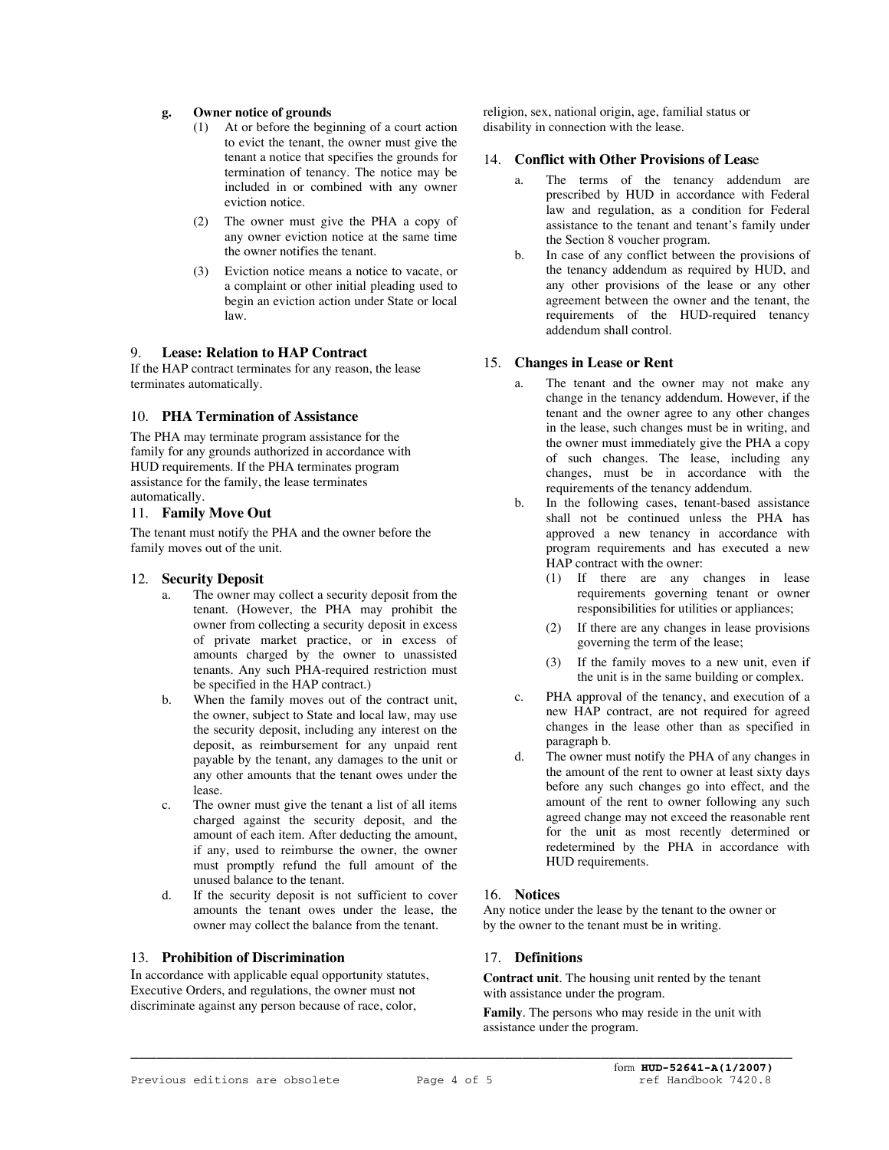#### **g. Owner notice of grounds**

- (1) At or before the beginning of a court action to evict the tenant, the owner must give the tenant a notice that specifies the grounds for termination of tenancy. The notice may be included in or combined with any owner eviction notice.
- (2) The owner must give the PHA a copy of any owner eviction notice at the same time the owner notifies the tenant.
- (3) Eviction notice means a notice to vacate, or a complaint or other initial pleading used to begin an eviction action under State or local law.

# 9. **Lease: Relation to HAP Contract**

If the HAP contract terminates for any reason, the lease terminates automatically.

# 10. **PHA Termination of Assistance**

The PHA may terminate program assistance for the family for any grounds authorized in accordance with HUD requirements. If the PHA terminates program assistance for the family, the lease terminates automatically.

# 11. **Family Move Out**

The tenant must notify the PHA and the owner before the family moves out of the unit.

# 12. **Security Deposit**

- a. The owner may collect a security deposit from the tenant. (However, the PHA may prohibit the owner from collecting a security deposit in excess of private market practice, or in excess of amounts charged by the owner to unassisted tenants. Any such PHA-required restriction must be specified in the HAP contract.)
- b. When the family moves out of the contract unit, the owner, subject to State and local law, may use the security deposit, including any interest on the deposit, as reimbursement for any unpaid rent payable by the tenant, any damages to the unit or any other amounts that the tenant owes under the lease.
- c. The owner must give the tenant a list of all items charged against the security deposit, and the amount of each item. After deducting the amount, if any, used to reimburse the owner, the owner must promptly refund the full amount of the unused balance to the tenant.
- d. If the security deposit is not sufficient to cover amounts the tenant owes under the lease, the owner may collect the balance from the tenant.

# 13. **Prohibition of Discrimination**

In accordance with applicable equal opportunity statutes, Executive Orders, and regulations, the owner must not discriminate against any person because of race, color,

religion, sex, national origin, age, familial status or disability in connection with the lease.

# 14. **Conflict with Other Provisions of Leas**e

- a. The terms of the tenancy addendum are prescribed by HUD in accordance with Federal law and regulation, as a condition for Federal assistance to the tenant and tenant's family under the Section 8 voucher program.
- b. In case of any conflict between the provisions of the tenancy addendum as required by HUD, and any other provisions of the lease or any other agreement between the owner and the tenant, the requirements of the HUD-required tenancy addendum shall control.

# 15. **Changes in Lease or Rent**

- a. The tenant and the owner may not make any change in the tenancy addendum. However, if the tenant and the owner agree to any other changes in the lease, such changes must be in writing, and the owner must immediately give the PHA a copy of such changes. The lease, including any changes, must be in accordance with the requirements of the tenancy addendum.
- b. In the following cases, tenant-based assistance shall not be continued unless the PHA has approved a new tenancy in accordance with program requirements and has executed a new HAP contract with the owner:
	- (1) If there are any changes in lease requirements governing tenant or owner responsibilities for utilities or appliances;
	- (2) If there are any changes in lease provisions governing the term of the lease;
	- (3) If the family moves to a new unit, even if the unit is in the same building or complex.
- c. PHA approval of the tenancy, and execution of a new HAP contract, are not required for agreed changes in the lease other than as specified in paragraph b.
- d. The owner must notify the PHA of any changes in the amount of the rent to owner at least sixty days before any such changes go into effect, and the amount of the rent to owner following any such agreed change may not exceed the reasonable rent for the unit as most recently determined or redetermined by the PHA in accordance with HUD requirements.

# 16. **Notices**

Any notice under the lease by the tenant to the owner or by the owner to the tenant must be in writing.

# 17. **Definitions**

**Contract unit**. The housing unit rented by the tenant with assistance under the program.

**Family**. The persons who may reside in the unit with assistance under the program.